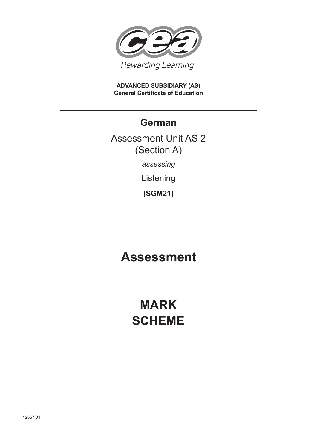

**ADVANCED SUBSIDIARY (AS) General Certificate of Education**

### **German**

Assessment Unit AS 2 (Section A) *assessing*

Listening

**[SGM21]**

## **Assessment**

# **MARK SCHEME**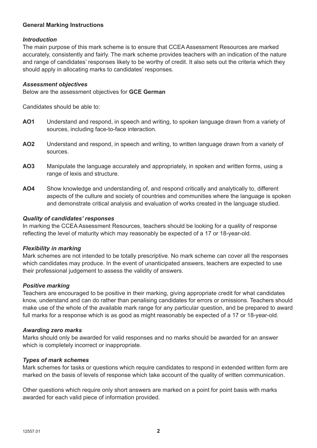#### **General Marking Instructions**

#### *Introduction*

The main purpose of this mark scheme is to ensure that CCEA Assessment Resources are marked accurately, consistently and fairly. The mark scheme provides teachers with an indication of the nature and range of candidates' responses likely to be worthy of credit. It also sets out the criteria which they should apply in allocating marks to candidates' responses.

#### *Assessment objectives*

Below are the assessment objectives for **GCE German**

Candidates should be able to:

- **AO1** Understand and respond, in speech and writing, to spoken language drawn from a variety of sources, including face-to-face interaction.
- **AO2** Understand and respond, in speech and writing, to written language drawn from a variety of sources.
- **AO3** Manipulate the language accurately and appropriately, in spoken and written forms, using a range of lexis and structure.
- **AO4** Show knowledge and understanding of, and respond critically and analytically to, different aspects of the culture and society of countries and communities where the language is spoken and demonstrate critical analysis and evaluation of works created in the language studied.

#### *Quality of candidates' responses*

In marking the CCEA Assessment Resources, teachers should be looking for a quality of response reflecting the level of maturity which may reasonably be expected of a 17 or 18-year-old.

#### *Flexibility in marking*

Mark schemes are not intended to be totally prescriptive. No mark scheme can cover all the responses which candidates may produce. In the event of unanticipated answers, teachers are expected to use their professional judgement to assess the validity of answers.

#### *Positive marking*

Teachers are encouraged to be positive in their marking, giving appropriate credit for what candidates know, understand and can do rather than penalising candidates for errors or omissions. Teachers should make use of the whole of the available mark range for any particular question, and be prepared to award full marks for a response which is as good as might reasonably be expected of a 17 or 18-year-old.

#### *Awarding zero marks*

Marks should only be awarded for valid responses and no marks should be awarded for an answer which is completely incorrect or inappropriate.

#### *Types of mark schemes*

Mark schemes for tasks or questions which require candidates to respond in extended written form are marked on the basis of levels of response which take account of the quality of written communication.

Other questions which require only short answers are marked on a point for point basis with marks awarded for each valid piece of information provided.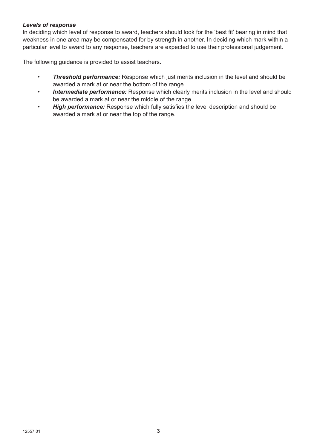#### *Levels of response*

In deciding which level of response to award, teachers should look for the 'best fit' bearing in mind that weakness in one area may be compensated for by strength in another. In deciding which mark within a particular level to award to any response, teachers are expected to use their professional judgement.

The following guidance is provided to assist teachers.

- *Threshold performance:* Response which just merits inclusion in the level and should be awarded a mark at or near the bottom of the range.
- • *Intermediate performance:* Response which clearly merits inclusion in the level and should be awarded a mark at or near the middle of the range.
- *High performance:* Response which fully satisfies the level description and should be awarded a mark at or near the top of the range.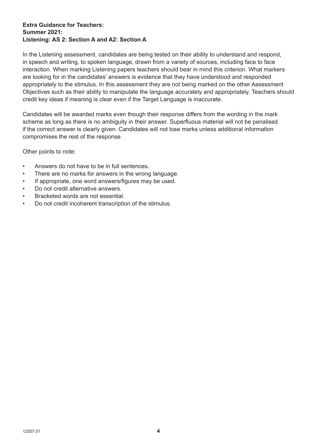#### **Extra Guidance for Teachers: Summer 2021: Listening: AS 2: Section A and A2: Section A**

In the Listening assessment, candidates are being tested on their ability to understand and respond, in speech and writing, to spoken language, drawn from a variety of sources, including face to face interaction. When marking Listening papers teachers should bear in mind this criterion. What markers are looking for in the candidates' answers is evidence that they have understood and responded appropriately to the stimulus. In this assessment they are not being marked on the other Assessment Objectives such as their ability to manipulate the language accurately and appropriately. Teachers should credit key ideas if meaning is clear even if the Target Language is inaccurate.

Candidates will be awarded marks even though their response differs from the wording in the mark scheme as long as there is no ambiguity in their answer. Superfluous material will not be penalised if the correct answer is clearly given. Candidates will not lose marks unless additional information compromises the rest of the response.

Other points to note:

- Answers do not have to be in full sentences.
- There are no marks for answers in the wrong language.
- If appropriate, one word answers/figures may be used.
- Do not credit alternative answers.
- Bracketed words are not essential.
- Do not credit incoherent transcription of the stimulus.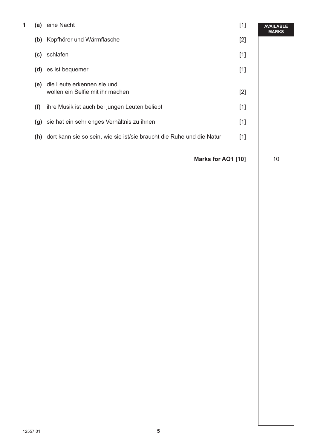| 1 | (a) | eine Nacht                                                                | $[1]$ | <b>AVAILABLE</b><br><b>MARKS</b> |
|---|-----|---------------------------------------------------------------------------|-------|----------------------------------|
|   | (b) | Kopfhörer und Wärmflasche                                                 | $[2]$ |                                  |
|   | (c) | schlafen                                                                  | $[1]$ |                                  |
|   | (d) | es ist bequemer                                                           | $[1]$ |                                  |
|   | (e) | die Leute erkennen sie und<br>wollen ein Selfie mit ihr machen            | $[2]$ |                                  |
|   | (f) | ihre Musik ist auch bei jungen Leuten beliebt                             | $[1]$ |                                  |
|   | (g) | sie hat ein sehr enges Verhältnis zu ihnen                                | $[1]$ |                                  |
|   |     | (h) dort kann sie so sein, wie sie ist/sie braucht die Ruhe und die Natur | $[1]$ |                                  |
|   |     | Marks for AO1 [10]                                                        |       | 10                               |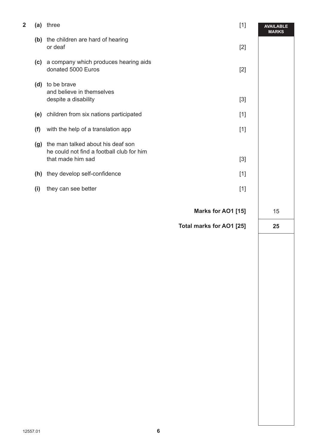|     | (a) three                                                                                           | $[1]$                    | <b>AVAILABLE</b><br><b>MARKS</b> |
|-----|-----------------------------------------------------------------------------------------------------|--------------------------|----------------------------------|
|     | (b) the children are hard of hearing<br>or deaf                                                     | $[2]$                    |                                  |
|     | (c) a company which produces hearing aids<br>donated 5000 Euros                                     | $[2]$                    |                                  |
|     | (d) to be brave<br>and believe in themselves<br>despite a disability                                | $[3]$                    |                                  |
|     | (e) children from six nations participated                                                          | $[1]$                    |                                  |
| (f) | with the help of a translation app                                                                  | $[1]$                    |                                  |
| (g) | the man talked about his deaf son<br>he could not find a football club for him<br>that made him sad | $[3]$                    |                                  |
|     | (h) they develop self-confidence                                                                    | $[1]$                    |                                  |
| (i) | they can see better                                                                                 | $[1]$                    |                                  |
|     |                                                                                                     |                          |                                  |
|     |                                                                                                     | Marks for AO1 [15]       | 15                               |
|     |                                                                                                     | Total marks for AO1 [25] |                                  |
|     |                                                                                                     |                          | 25                               |